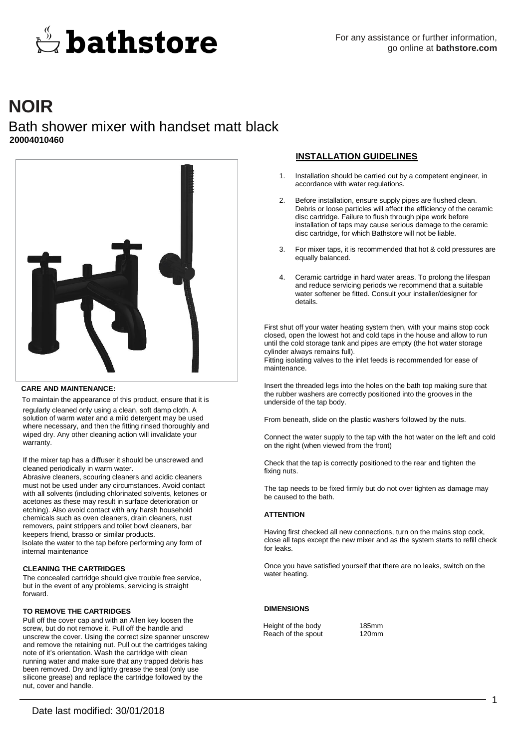# $\stackrel{\scriptscriptstyle\rm o}{\leftrightarrow}$  bathstore

# **NOIR**

## Bath shower mixer with handset matt black **20004010460**



#### **CARE AND MAINTENANCE:**

To maintain the appearance of this product, ensure that it is regularly cleaned only using a clean, soft damp cloth. A solution of warm water and a mild detergent may be used where necessary, and then the fitting rinsed thoroughly and wiped dry. Any other cleaning action will invalidate your warranty.

If the mixer tap has a diffuser it should be unscrewed and cleaned periodically in warm water.

Abrasive cleaners, scouring cleaners and acidic cleaners must not be used under any circumstances. Avoid contact with all solvents (including chlorinated solvents, ketones or acetones as these may result in surface deterioration or etching). Also avoid contact with any harsh household chemicals such as oven cleaners, drain cleaners, rust removers, paint strippers and toilet bowl cleaners, bar keepers friend, brasso or similar products. Isolate the water to the tap before performing any form of internal maintenance

#### **CLEANING THE CARTRIDGES**

The concealed cartridge should give trouble free service, but in the event of any problems, servicing is straight forward.

#### **TO REMOVE THE CARTRIDGES**

Pull off the cover cap and with an Allen key loosen the screw, but do not remove it. Pull off the handle and unscrew the cover. Using the correct size spanner unscrew and remove the retaining nut. Pull out the cartridges taking note of it's orientation. Wash the cartridge with clean running water and make sure that any trapped debris has been removed. Dry and lightly grease the seal (only use silicone grease) and replace the cartridge followed by the nut, cover and handle.

#### **INSTALLATION GUIDELINES**

- 1. Installation should be carried out by a competent engineer, in accordance with water regulations.
- 2. Before installation, ensure supply pipes are flushed clean. Debris or loose particles will affect the efficiency of the ceramic disc cartridge. Failure to flush through pipe work before installation of taps may cause serious damage to the ceramic disc cartridge, for which Bathstore will not be liable.
- 3. For mixer taps, it is recommended that hot & cold pressures are equally balanced.
- 4. Ceramic cartridge in hard water areas. To prolong the lifespan and reduce servicing periods we recommend that a suitable water softener be fitted. Consult your installer/designer for details.

First shut off your water heating system then, with your mains stop cock closed, open the lowest hot and cold taps in the house and allow to run until the cold storage tank and pipes are empty (the hot water storage cylinder always remains full).

Fitting isolating valves to the inlet feeds is recommended for ease of maintenance.

Insert the threaded legs into the holes on the bath top making sure that the rubber washers are correctly positioned into the grooves in the underside of the tap body.

From beneath, slide on the plastic washers followed by the nuts.

Connect the water supply to the tap with the hot water on the left and cold on the right (when viewed from the front)

Check that the tap is correctly positioned to the rear and tighten the fixing nuts.

The tap needs to be fixed firmly but do not over tighten as damage may be caused to the bath.

#### **ATTENTION**

Having first checked all new connections, turn on the mains stop cock, close all taps except the new mixer and as the system starts to refill check for leaks.

Once you have satisfied yourself that there are no leaks, switch on the water heating.

#### **DIMENSIONS**

Height of the body 185mm<br>Reach of the spout 120mm Reach of the spout